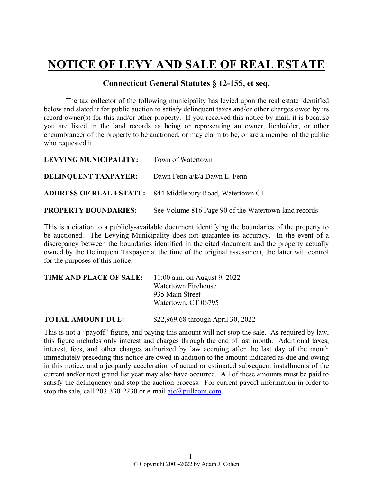## **NOTICE OF LEVY AND SALE OF REAL ESTATE**

## **Connecticut General Statutes § 12-155, et seq.**

The tax collector of the following municipality has levied upon the real estate identified below and slated it for public auction to satisfy delinquent taxes and/or other charges owed by its record owner(s) for this and/or other property. If you received this notice by mail, it is because you are listed in the land records as being or representing an owner, lienholder, or other encumbrancer of the property to be auctioned, or may claim to be, or are a member of the public who requested it.

| <b>LEVYING MUNICIPALITY:</b> Town of Watertown           |                                                                  |
|----------------------------------------------------------|------------------------------------------------------------------|
| <b>DELINQUENT TAXPAYER:</b> Dawn Fenn a/k/a Dawn E. Fenn |                                                                  |
|                                                          | <b>ADDRESS OF REAL ESTATE:</b> 844 Middlebury Road, Watertown CT |
| <b>PROPERTY BOUNDARIES:</b>                              | See Volume 816 Page 90 of the Watertown land records             |

This is a citation to a publicly-available document identifying the boundaries of the property to be auctioned. The Levying Municipality does not guarantee its accuracy. In the event of a discrepancy between the boundaries identified in the cited document and the property actually owned by the Delinquent Taxpayer at the time of the original assessment, the latter will control for the purposes of this notice.

| <b>TIME AND PLACE OF SALE:</b> 11:00 a.m. on August 9, 2022 |                     |
|-------------------------------------------------------------|---------------------|
|                                                             | Watertown Firehouse |
|                                                             | 935 Main Street     |
|                                                             | Watertown, CT 06795 |
|                                                             |                     |

**TOTAL AMOUNT DUE:** \$22,969.68 through April 30, 2022

This is not a "payoff" figure, and paying this amount will not stop the sale. As required by law, this figure includes only interest and charges through the end of last month. Additional taxes, interest, fees, and other charges authorized by law accruing after the last day of the month immediately preceding this notice are owed in addition to the amount indicated as due and owing in this notice, and a jeopardy acceleration of actual or estimated subsequent installments of the current and/or next grand list year may also have occurred. All of these amounts must be paid to satisfy the delinquency and stop the auction process. For current payoff information in order to stop the sale, call 203-330-2230 or e-mail  $a$ jc $@p$ ullcom.com.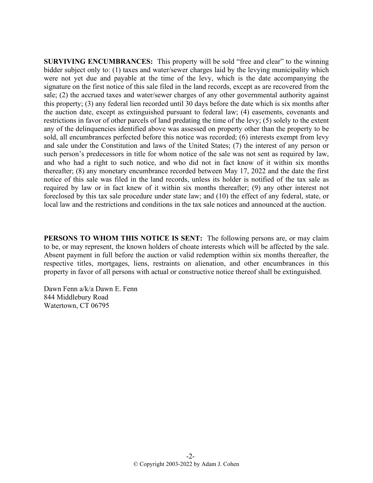**SURVIVING ENCUMBRANCES:** This property will be sold "free and clear" to the winning bidder subject only to: (1) taxes and water/sewer charges laid by the levying municipality which were not yet due and payable at the time of the levy, which is the date accompanying the signature on the first notice of this sale filed in the land records, except as are recovered from the sale; (2) the accrued taxes and water/sewer charges of any other governmental authority against this property; (3) any federal lien recorded until 30 days before the date which is six months after the auction date, except as extinguished pursuant to federal law; (4) easements, covenants and restrictions in favor of other parcels of land predating the time of the levy; (5) solely to the extent any of the delinquencies identified above was assessed on property other than the property to be sold, all encumbrances perfected before this notice was recorded; (6) interests exempt from levy and sale under the Constitution and laws of the United States; (7) the interest of any person or such person's predecessors in title for whom notice of the sale was not sent as required by law, and who had a right to such notice, and who did not in fact know of it within six months thereafter; (8) any monetary encumbrance recorded between May 17, 2022 and the date the first notice of this sale was filed in the land records, unless its holder is notified of the tax sale as required by law or in fact knew of it within six months thereafter; (9) any other interest not foreclosed by this tax sale procedure under state law; and (10) the effect of any federal, state, or local law and the restrictions and conditions in the tax sale notices and announced at the auction.

**PERSONS TO WHOM THIS NOTICE IS SENT:** The following persons are, or may claim to be, or may represent, the known holders of choate interests which will be affected by the sale. Absent payment in full before the auction or valid redemption within six months thereafter, the respective titles, mortgages, liens, restraints on alienation, and other encumbrances in this property in favor of all persons with actual or constructive notice thereof shall be extinguished.

Dawn Fenn a/k/a Dawn E. Fenn 844 Middlebury Road Watertown, CT 06795